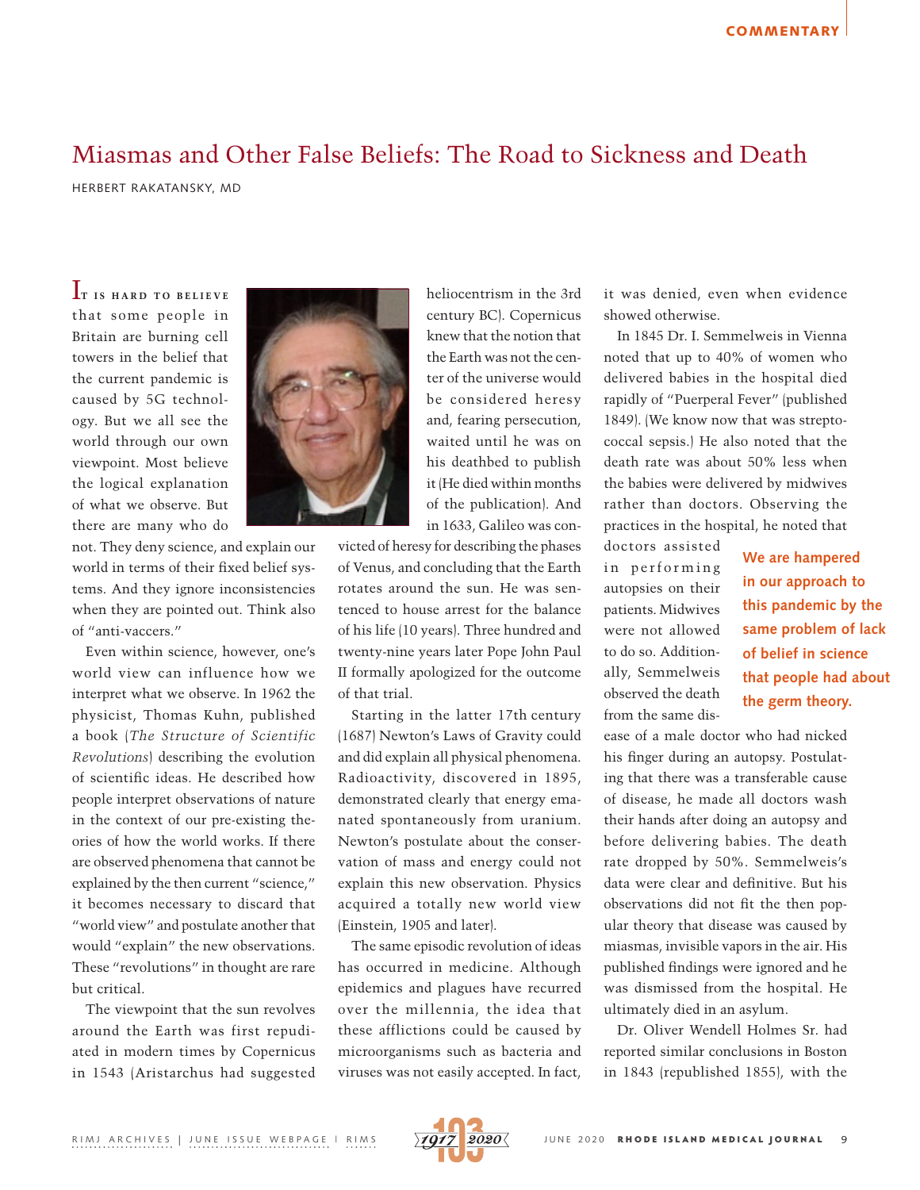## Miasmas and Other False Beliefs: The Road to Sickness and Death

HERBERT RAKATANSKY, MD

IT IS HARD TO BELIEVE that some people in Britain are burning cell towers in the belief that the current pandemic is caused by 5G technology. But we all see the world through our own viewpoint. Most believe the logical explanation of what we observe. But there are many who do

not. They deny science, and explain our world in terms of their fixed belief systems. And they ignore inconsistencies when they are pointed out. Think also of "anti-vaccers."

Even within science, however, one's world view can influence how we interpret what we observe. In 1962 the physicist, Thomas Kuhn, published a book (*The Structure of Scientific Revolutions*) describing the evolution of scientific ideas. He described how people interpret observations of nature in the context of our pre-existing theories of how the world works. If there are observed phenomena that cannot be explained by the then current "science," it becomes necessary to discard that "world view" and postulate another that would "explain" the new observations. These "revolutions" in thought are rare but critical.

The viewpoint that the sun revolves around the Earth was first repudiated in modern times by Copernicus in 1543 (Aristarchus had suggested



century BC). Copernicus knew that the notion that the Earth was not the center of the universe would be considered heresy and, fearing persecution, waited until he was on his deathbed to publish it (He died within months of the publication). And in 1633, Galileo was con-

heliocentrism in the 3rd

victed of heresy for describing the phases of Venus, and concluding that the Earth rotates around the sun. He was sentenced to house arrest for the balance of his life (10 years). Three hundred and twenty-nine years later Pope John Paul II formally apologized for the outcome of that trial.

Starting in the latter 17th century (1687) Newton's Laws of Gravity could and did explain all physical phenomena. Radioactivity, discovered in 1895, demonstrated clearly that energy emanated spontaneously from uranium. Newton's postulate about the conservation of mass and energy could not explain this new observation. Physics acquired a totally new world view (Einstein, 1905 and later).

The same episodic revolution of ideas has occurred in medicine. Although epidemics and plagues have recurred over the millennia, the idea that these afflictions could be caused by microorganisms such as bacteria and viruses was not easily accepted. In fact,

it was denied, even when evidence showed otherwise.

In 1845 Dr. I. Semmelweis in Vienna noted that up to 40% of women who delivered babies in the hospital died rapidly of "Puerperal Fever" (published 1849). (We know now that was streptococcal sepsis.) He also noted that the death rate was about 50% less when the babies were delivered by midwives rather than doctors. Observing the practices in the hospital, he noted that

doctors assisted in performing autopsies on their patients. Midwives were not allowed to do so. Additionally, Semmelweis observed the death from the same dis-

**We are hampered in our approach to this pandemic by the same problem of lack of belief in science that people had about the germ theory.**

ease of a male doctor who had nicked his finger during an autopsy. Postulating that there was a transferable cause of disease, he made all doctors wash their hands after doing an autopsy and before delivering babies. The death rate dropped by 50%. Semmelweis's data were clear and definitive. But his observations did not fit the then popular theory that disease was caused by miasmas, invisible vapors in the air. His published findings were ignored and he was dismissed from the hospital. He ultimately died in an asylum.

Dr. Oliver Wendell Holmes Sr. had reported similar conclusions in Boston in 1843 (republished 1855), with the

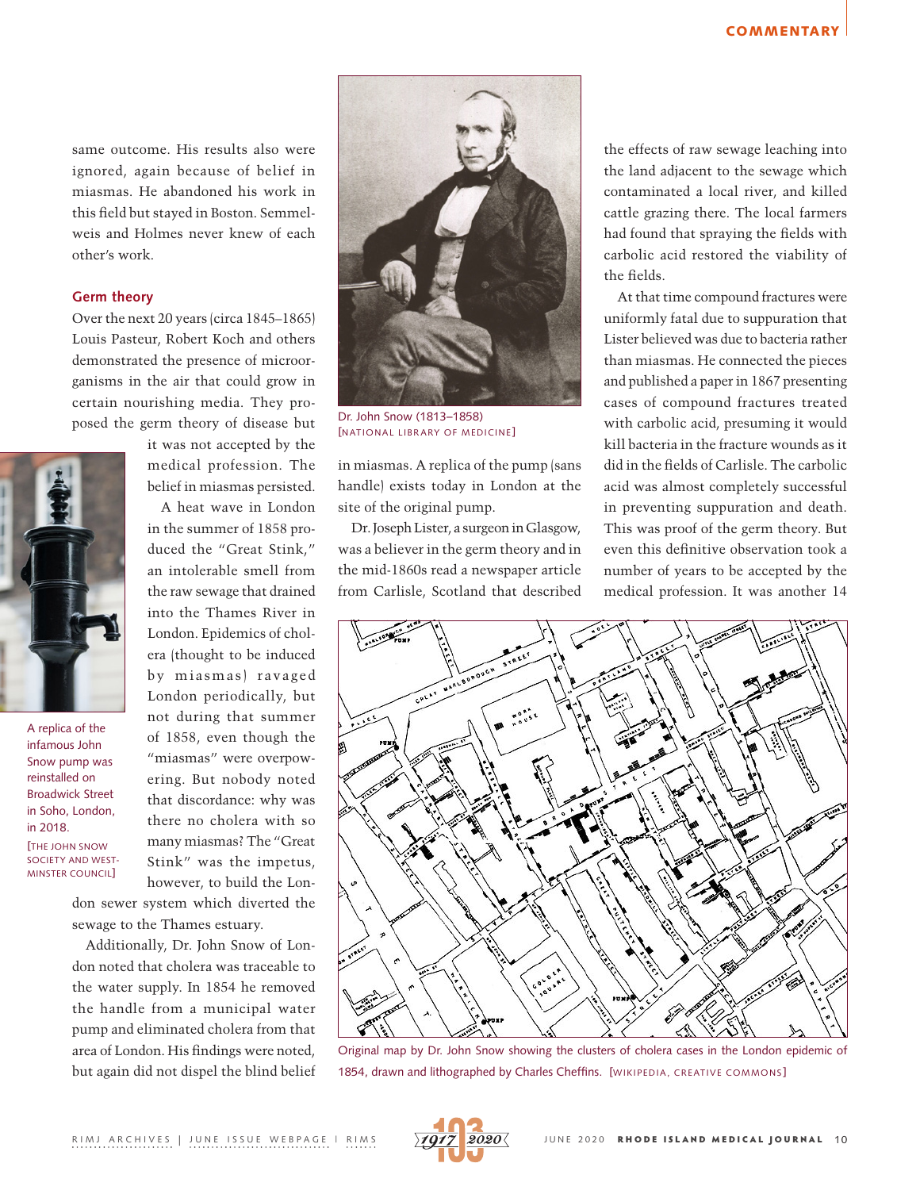same outcome. His results also were ignored, again because of belief in miasmas. He abandoned his work in this field but stayed in Boston. Semmelweis and Holmes never knew of each other's work.

## **Germ theory**

Over the next 20 years (circa 1845–1865) Louis Pasteur, Robert Koch and others demonstrated the presence of microorganisms in the air that could grow in certain nourishing media. They proposed the germ theory of disease but



A replica of the infamous John Snow pump was reinstalled on Broadwick Street in Soho, London, in 2018. [THE [JOHN SNOW](http://www.johnsnowsociety.org/annual-pumphandle-lecture.html)  [SOCIETY](http://www.johnsnowsociety.org/annual-pumphandle-lecture.html) AND WEST-MINSTER COUNCIL]

belief in miasmas persisted. A heat wave in London in the summer of 1858 produced the "Great Stink," an intolerable smell from the raw sewage that drained into the Thames River in London. Epidemics of chol-

it was not accepted by the medical profession. The

era (thought to be induced by miasmas) ravaged London periodically, but not during that summer of 1858, even though the "miasmas" were overpowering. But nobody noted that discordance: why was there no cholera with so many miasmas? The "Great Stink" was the impetus, however, to build the Lon-

don sewer system which diverted the sewage to the Thames estuary.

Additionally, Dr. John Snow of London noted that cholera was traceable to the water supply. In 1854 he removed the handle from a municipal water pump and eliminated cholera from that area of London. His findings were noted, but again did not dispel the blind belief



Dr. John Snow (1813–1858) [NATIONAL LIBRARY OF MEDICINE]

in miasmas. A replica of the pump (sans handle) exists today in London at the site of the original pump.

Dr. Joseph Lister, a surgeon in Glasgow, was a believer in the germ theory and in the mid-1860s read a newspaper article from Carlisle, Scotland that described the effects of raw sewage leaching into the land adjacent to the sewage which contaminated a local river, and killed cattle grazing there. The local farmers had found that spraying the fields with carbolic acid restored the viability of the fields.

At that time compound fractures were uniformly fatal due to suppuration that Lister believed was due to bacteria rather than miasmas. He connected the pieces and published a paper in 1867 presenting cases of compound fractures treated with carbolic acid, presuming it would kill bacteria in the fracture wounds as it did in the fields of Carlisle. The carbolic acid was almost completely successful in preventing suppuration and death. This was proof of the germ theory. But even this definitive observation took a number of years to be accepted by the medical profession. It was another 14



Original map by Dr. John Snow showing the [clusters](https://en.wikipedia.org/wiki/Cluster_(epidemiology)) of cholera cases in the London epidemic of 1854, drawn and lithographed by [Charles Cheffins.](https://en.wikipedia.org/wiki/Charles_Cheffins) [WIKIPEDIA, CREATIVE COMMONS]